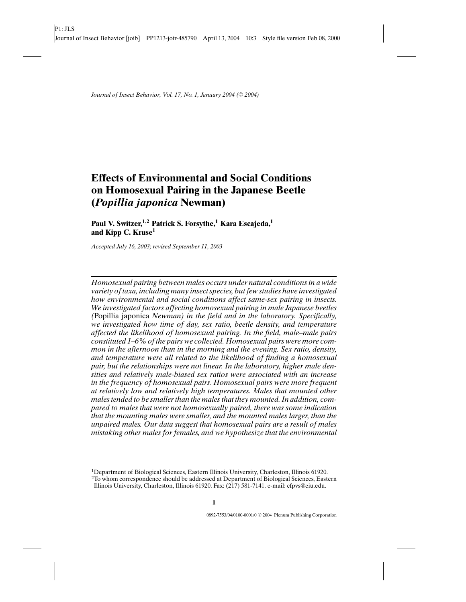# **Effects of Environmental and Social Conditions on Homosexual Pairing in the Japanese Beetle (***Popillia japonica* **Newman)**

**Paul V. Switzer, <sup>1,2</sup> Patrick S. Forsythe, <sup>1</sup> Kara Escaieda, <sup>1</sup> and Kipp C. Kruse1**

*Accepted July 16, 2003; revised September 11, 2003*

*Homosexual pairing between males occurs under natural conditions in a wide variety of taxa, including many insect species, but few studies have investigated how environmental and social conditions affect same-sex pairing in insects. We investigated factors affecting homosexual pairing in male Japanese beetles (*Popillia japonica *Newman) in the field and in the laboratory. Specifically, we investigated how time of day, sex ratio, beetle density, and temperature affected the likelihood of homosexual pairing. In the field, male–male pairs constituted 1–6% of the pairs we collected. Homosexual pairs were more common in the afternoon than in the morning and the evening. Sex ratio, density, and temperature were all related to the likelihood of finding a homosexual pair, but the relationships were not linear. In the laboratory, higher male densities and relatively male-biased sex ratios were associated with an increase in the frequency of homosexual pairs. Homosexual pairs were more frequent at relatively low and relatively high temperatures. Males that mounted other males tended to be smaller than the males that they mounted. In addition, compared to males that were not homosexually paired, there was some indication that the mounting males were smaller, and the mounted males larger, than the unpaired males. Our data suggest that homosexual pairs are a result of males mistaking other males for females, and we hypothesize that the environmental*

<sup>&</sup>lt;sup>1</sup>Department of Biological Sciences, Eastern Illinois University, Charleston, Illinois 61920. 2To whom correspondence should be addressed at Department of Biological Sciences, Eastern Illinois University, Charleston, Illinois 61920. Fax: (217) 581-7141. e-mail: cfpvs@eiu.edu.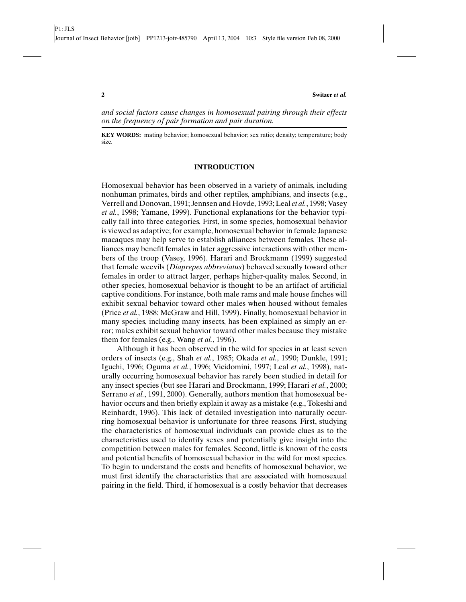**2 Switzer** *et al.*

*and social factors cause changes in homosexual pairing through their effects on the frequency of pair formation and pair duration.*

**KEY WORDS:** mating behavior; homosexual behavior; sex ratio; density; temperature; body size.

#### **INTRODUCTION**

Homosexual behavior has been observed in a variety of animals, including nonhuman primates, birds and other reptiles, amphibians, and insects (e.g., Verrell and Donovan, 1991; Jennsen and Hovde, 1993; Leal *et al.*, 1998; Vasey *et al.*, 1998; Yamane, 1999). Functional explanations for the behavior typically fall into three categories. First, in some species, homosexual behavior is viewed as adaptive; for example, homosexual behavior in female Japanese macaques may help serve to establish alliances between females. These alliances may benefit females in later aggressive interactions with other members of the troop (Vasey, 1996). Harari and Brockmann (1999) suggested that female weevils (*Diaprepes abbreviatus*) behaved sexually toward other females in order to attract larger, perhaps higher-quality males. Second, in other species, homosexual behavior is thought to be an artifact of artificial captive conditions. For instance, both male rams and male house finches will exhibit sexual behavior toward other males when housed without females (Price *et al.*, 1988; McGraw and Hill, 1999). Finally, homosexual behavior in many species, including many insects, has been explained as simply an error; males exhibit sexual behavior toward other males because they mistake them for females (e.g., Wang *et al.*, 1996).

Although it has been observed in the wild for species in at least seven orders of insects (e.g., Shah *et al.*, 1985; Okada *et al.*, 1990; Dunkle, 1991; Iguchi, 1996; Oguma *et al.*, 1996; Vicidomini, 1997; Leal *et al.*, 1998), naturally occurring homosexual behavior has rarely been studied in detail for any insect species (but see Harari and Brockmann, 1999; Harari *et al.*, 2000; Serrano *et al.*, 1991, 2000). Generally, authors mention that homosexual behavior occurs and then briefly explain it away as a mistake (e.g., Tokeshi and Reinhardt, 1996). This lack of detailed investigation into naturally occurring homosexual behavior is unfortunate for three reasons. First, studying the characteristics of homosexual individuals can provide clues as to the characteristics used to identify sexes and potentially give insight into the competition between males for females. Second, little is known of the costs and potential benefits of homosexual behavior in the wild for most species. To begin to understand the costs and benefits of homosexual behavior, we must first identify the characteristics that are associated with homosexual pairing in the field. Third, if homosexual is a costly behavior that decreases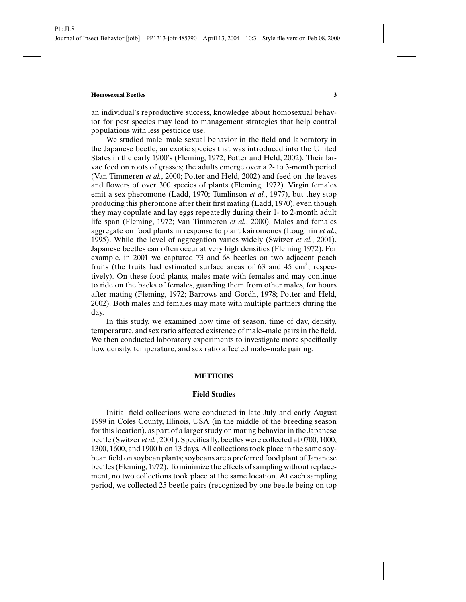#### **Homosexual Beetles 3**

an individual's reproductive success, knowledge about homosexual behavior for pest species may lead to management strategies that help control populations with less pesticide use.

We studied male–male sexual behavior in the field and laboratory in the Japanese beetle, an exotic species that was introduced into the United States in the early 1900's (Fleming, 1972; Potter and Held, 2002). Their larvae feed on roots of grasses; the adults emerge over a 2- to 3-month period (Van Timmeren *et al.*, 2000; Potter and Held, 2002) and feed on the leaves and flowers of over 300 species of plants (Fleming, 1972). Virgin females emit a sex pheromone (Ladd, 1970; Tumlinson *et al.*, 1977), but they stop producing this pheromone after their first mating (Ladd, 1970), even though they may copulate and lay eggs repeatedly during their 1- to 2-month adult life span (Fleming, 1972; Van Timmeren *et al.*, 2000). Males and females aggregate on food plants in response to plant kairomones (Loughrin *et al.*, 1995). While the level of aggregation varies widely (Switzer *et al.*, 2001), Japanese beetles can often occur at very high densities (Fleming 1972). For example, in 2001 we captured 73 and 68 beetles on two adjacent peach fruits (the fruits had estimated surface areas of  $63$  and  $45 \text{ cm}^2$ , respectively). On these food plants, males mate with females and may continue to ride on the backs of females, guarding them from other males, for hours after mating (Fleming, 1972; Barrows and Gordh, 1978; Potter and Held, 2002). Both males and females may mate with multiple partners during the day.

In this study, we examined how time of season, time of day, density, temperature, and sex ratio affected existence of male–male pairs in the field. We then conducted laboratory experiments to investigate more specifically how density, temperature, and sex ratio affected male–male pairing.

# **METHODS**

# **Field Studies**

Initial field collections were conducted in late July and early August 1999 in Coles County, Illinois, USA (in the middle of the breeding season for this location), as part of a larger study on mating behavior in the Japanese beetle (Switzer *et al.*, 2001). Specifically, beetles were collected at 0700, 1000, 1300, 1600, and 1900 h on 13 days. All collections took place in the same soybean field on soybean plants; soybeans are a preferred food plant of Japanese beetles (Fleming, 1972). To minimize the effects of sampling without replacement, no two collections took place at the same location. At each sampling period, we collected 25 beetle pairs (recognized by one beetle being on top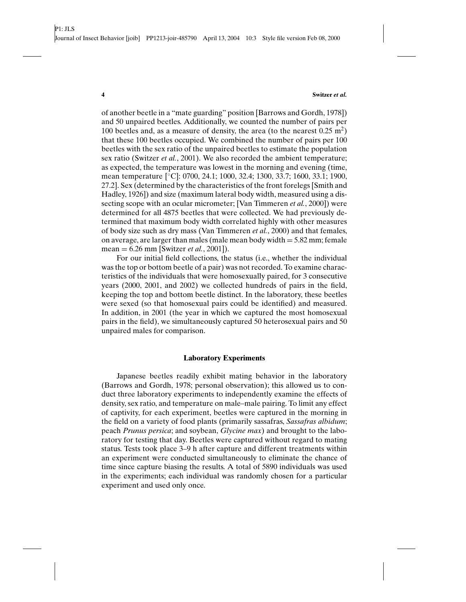of another beetle in a "mate guarding" position [Barrows and Gordh, 1978]) and 50 unpaired beetles. Additionally, we counted the number of pairs per 100 beetles and, as a measure of density, the area (to the nearest  $0.25 \text{ m}^2$ ) that these 100 beetles occupied. We combined the number of pairs per 100 beetles with the sex ratio of the unpaired beetles to estimate the population sex ratio (Switzer *et al.*, 2001). We also recorded the ambient temperature; as expected, the temperature was lowest in the morning and evening (time, mean temperature [◦C]: 0700, 24.1; 1000, 32.4; 1300, 33.7; 1600, 33.1; 1900, 27.2]. Sex (determined by the characteristics of the front forelegs [Smith and Hadley, 1926]) and size (maximum lateral body width, measured using a dissecting scope with an ocular micrometer; [Van Timmeren *et al.*, 2000]) were determined for all 4875 beetles that were collected. We had previously determined that maximum body width correlated highly with other measures of body size such as dry mass (Van Timmeren *et al.*, 2000) and that females, on average, are larger than males (male mean body width  $=$  5.82 mm; female mean = 6.26 mm [Switzer *et al.*, 2001]).

For our initial field collections, the status (i.e., whether the individual was the top or bottom beetle of a pair) was not recorded. To examine characteristics of the individuals that were homosexually paired, for 3 consecutive years (2000, 2001, and 2002) we collected hundreds of pairs in the field, keeping the top and bottom beetle distinct. In the laboratory, these beetles were sexed (so that homosexual pairs could be identified) and measured. In addition, in 2001 (the year in which we captured the most homosexual pairs in the field), we simultaneously captured 50 heterosexual pairs and 50 unpaired males for comparison.

#### **Laboratory Experiments**

Japanese beetles readily exhibit mating behavior in the laboratory (Barrows and Gordh, 1978; personal observation); this allowed us to conduct three laboratory experiments to independently examine the effects of density, sex ratio, and temperature on male–male pairing. To limit any effect of captivity, for each experiment, beetles were captured in the morning in the field on a variety of food plants (primarily sassafras, *Sassafras albidum*; peach *Prunus persica*; and soybean, *Glycine max*) and brought to the laboratory for testing that day. Beetles were captured without regard to mating status. Tests took place 3–9 h after capture and different treatments within an experiment were conducted simultaneously to eliminate the chance of time since capture biasing the results. A total of 5890 individuals was used in the experiments; each individual was randomly chosen for a particular experiment and used only once.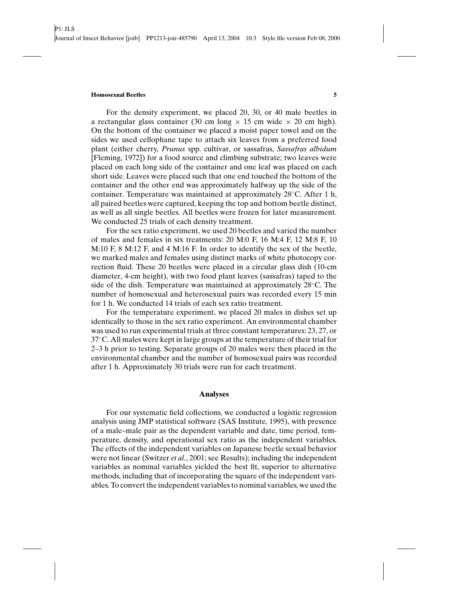#### **Homosexual Beetles 5**

For the density experiment, we placed 20, 30, or 40 male beetles in a rectangular glass container (30 cm long  $\times$  15 cm wide  $\times$  20 cm high). On the bottom of the container we placed a moist paper towel and on the sides we used cellophane tape to attach six leaves from a preferred food plant (either cherry, *Prunus* spp. cultivar, or sassafras, *Sassafras albidum* [Fleming, 1972]) for a food source and climbing substrate; two leaves were placed on each long side of the container and one leaf was placed on each short side. Leaves were placed such that one end touched the bottom of the container and the other end was approximately halfway up the side of the container. Temperature was maintained at approximately 28◦C. After 1 h, all paired beetles were captured, keeping the top and bottom beetle distinct, as well as all single beetles. All beetles were frozen for later measurement. We conducted 25 trials of each density treatment.

For the sex ratio experiment, we used 20 beetles and varied the number of males and females in six treatments: 20 M:0 F, 16 M:4 F, 12 M:8 F, 10 M:10 F, 8 M:12 F, and 4 M:16 F. In order to identify the sex of the beetle, we marked males and females using distinct marks of white photocopy correction fluid. These 20 beetles were placed in a circular glass dish (10-cm diameter, 4-cm height), with two food plant leaves (sassafras) taped to the side of the dish. Temperature was maintained at approximately 28◦C. The number of homosexual and heterosexual pairs was recorded every 15 min for 1 h. We conducted 14 trials of each sex ratio treatment.

For the temperature experiment, we placed 20 males in dishes set up identically to those in the sex ratio experiment. An environmental chamber was used to run experimental trials at three constant temperatures: 23, 27, or 37◦C. All males were kept in large groups at the temperature of their trial for 2–3 h prior to testing. Separate groups of 20 males were then placed in the environmental chamber and the number of homosexual pairs was recorded after 1 h. Approximately 30 trials were run for each treatment.

# **Analyses**

For our systematic field collections, we conducted a logistic regression analysis using JMP statistical software (SAS Institute, 1995), with presence of a male–male pair as the dependent variable and date, time period, temperature, density, and operational sex ratio as the independent variables. The effects of the independent variables on Japanese beetle sexual behavior were not linear (Switzer *et al.*, 2001; see Results); including the independent variables as nominal variables yielded the best fit, superior to alternative methods, including that of incorporating the square of the independent variables. To convert the independent variables to nominal variables, we used the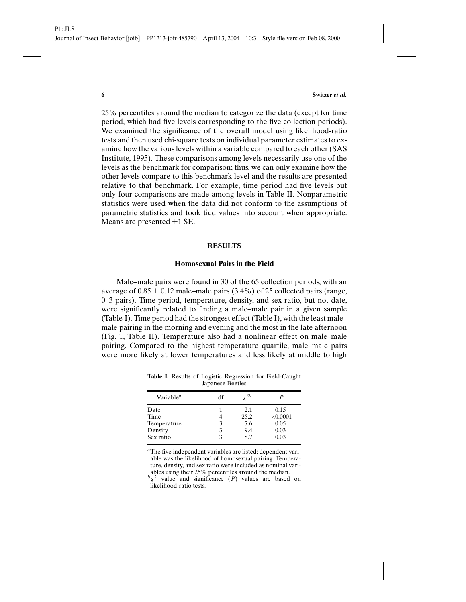25% percentiles around the median to categorize the data (except for time period, which had five levels corresponding to the five collection periods). We examined the significance of the overall model using likelihood-ratio tests and then used chi-square tests on individual parameter estimates to examine how the various levels within a variable compared to each other (SAS Institute, 1995). These comparisons among levels necessarily use one of the levels as the benchmark for comparison; thus, we can only examine how the other levels compare to this benchmark level and the results are presented relative to that benchmark. For example, time period had five levels but only four comparisons are made among levels in Table II. Nonparametric statistics were used when the data did not conform to the assumptions of parametric statistics and took tied values into account when appropriate. Means are presented  $\pm 1$  SE.

### **RESULTS**

# **Homosexual Pairs in the Field**

Male–male pairs were found in 30 of the 65 collection periods, with an average of  $0.85 \pm 0.12$  male–male pairs (3.4%) of 25 collected pairs (range, 0–3 pairs). Time period, temperature, density, and sex ratio, but not date, were significantly related to finding a male–male pair in a given sample (Table I). Time period had the strongest effect (Table I), with the least male– male pairing in the morning and evening and the most in the late afternoon (Fig. 1, Table II). Temperature also had a nonlinear effect on male–male pairing. Compared to the highest temperature quartile, male–male pairs were more likely at lower temperatures and less likely at middle to high

| $\alpha$              |    |          |          |
|-----------------------|----|----------|----------|
| Variable <sup>a</sup> | df | $v^{2b}$ |          |
| Date                  |    | 2.1      | 0.15     |
| Time                  |    | 25.2     | < 0.0001 |
| Temperature           |    | 7.6      | 0.05     |
| Density               | 3  | 9.4      | 0.03     |
| Sex ratio             |    | 8.7      | 0.03     |

**Table I.** Results of Logistic Regression for Field-Caught Japanese Beetles

*<sup>a</sup>*The five independent variables are listed; dependent variable was the likelihood of homosexual pairing. Temperature, density, and sex ratio were included as nominal variables using their 25% percentiles around the median.

 $b \chi^2$  value and significance (*P*) values are based on likelihood-ratio tests.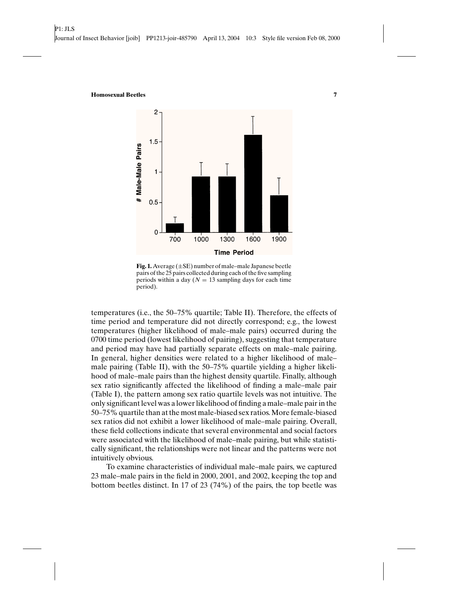

**Fig. 1.** Average (±SE) number of male–male Japanese beetle pairs of the 25 pairs collected during each of the five sampling periods within a day ( $N = 13$  sampling days for each time period).

temperatures (i.e., the 50–75% quartile; Table II). Therefore, the effects of time period and temperature did not directly correspond; e.g., the lowest temperatures (higher likelihood of male–male pairs) occurred during the 0700 time period (lowest likelihood of pairing), suggesting that temperature and period may have had partially separate effects on male–male pairing. In general, higher densities were related to a higher likelihood of male– male pairing (Table II), with the 50–75% quartile yielding a higher likelihood of male–male pairs than the highest density quartile. Finally, although sex ratio significantly affected the likelihood of finding a male–male pair (Table I), the pattern among sex ratio quartile levels was not intuitive. The only significant level was a lower likelihood of finding a male–male pair in the 50–75% quartile than at the most male-biased sex ratios. More female-biased sex ratios did not exhibit a lower likelihood of male–male pairing. Overall, these field collections indicate that several environmental and social factors were associated with the likelihood of male–male pairing, but while statistically significant, the relationships were not linear and the patterns were not intuitively obvious.

To examine characteristics of individual male–male pairs, we captured 23 male–male pairs in the field in 2000, 2001, and 2002, keeping the top and bottom beetles distinct. In 17 of 23 (74%) of the pairs, the top beetle was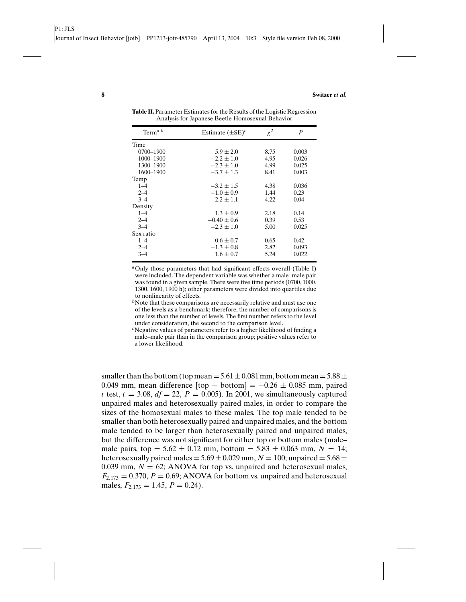| Term <sup><math>a,b</math></sup> | Estimate $(\pm SE)^c$ | $x^2$ | P     |
|----------------------------------|-----------------------|-------|-------|
| Time                             |                       |       |       |
| 0700-1900                        | $5.9 \pm 2.0$         | 8.75  | 0.003 |
| 1000-1900                        | $-2.2 \pm 1.0$        | 4.95  | 0.026 |
| 1300-1900                        | $-2.3 \pm 1.0$        | 4.99  | 0.025 |
| 1600-1900                        | $-3.7 \pm 1.3$        | 8.41  | 0.003 |
| Temp                             |                       |       |       |
| $1 - 4$                          | $-3.2 + 1.5$          | 4.38  | 0.036 |
| $2 - 4$                          | $-1.0 \pm 0.9$        | 1.44  | 0.23  |
| $3 - 4$                          | $2.2 + 1.1$           | 4.22  | 0.04  |
| Density                          |                       |       |       |
| $1 - 4$                          | $1.3 \pm 0.9$         | 2.18  | 0.14  |
| $2 - 4$                          | $-0.40 \pm 0.6$       | 0.39  | 0.53  |
| $3 - 4$                          | $-2.3 \pm 1.0$        | 5.00  | 0.025 |
| Sex ratio                        |                       |       |       |
| $1 - 4$                          | $0.6 \pm 0.7$         | 0.65  | 0.42  |
| $2 - 4$                          | $-1.3 \pm 0.8$        | 2.82  | 0.093 |
| $3 - 4$                          | $1.6 \pm 0.7$         | 5.24  | 0.022 |

**Table II.** Parameter Estimates for the Results of the Logistic Regression Analysis for Japanese Beetle Homosexual Behavior

*<sup>a</sup>*Only those parameters that had significant effects overall (Table I) were included. The dependent variable was whether a male–male pair was found in a given sample. There were five time periods (0700, 1000, 1300, 1600, 1900 h); other parameters were divided into quartiles due to nonlinearity of effects.

*b*Note that these comparisons are necessarily relative and must use one of the levels as a benchmark; therefore, the number of comparisons is one less than the number of levels. The first number refers to the level under consideration, the second to the comparison level.

*<sup>c</sup>*Negative values of parameters refer to a higher likelihood of finding a male–male pair than in the comparison group; positive values refer to a lower likelihood.

smaller than the bottom (top mean =  $5.61 \pm 0.081$  mm, bottom mean =  $5.88 \pm 0.081$ 0.049 mm, mean difference  $[top - bottom] = -0.26 \pm 0.085$  mm, paired *t* test,  $t = 3.08$ ,  $df = 22$ ,  $P = 0.005$ ). In 2001, we simultaneously captured unpaired males and heterosexually paired males, in order to compare the sizes of the homosexual males to these males. The top male tended to be smaller than both heterosexually paired and unpaired males, and the bottom male tended to be larger than heterosexually paired and unpaired males, but the difference was not significant for either top or bottom males (male– male pairs, top =  $5.62 \pm 0.12$  mm, bottom =  $5.83 \pm 0.063$  mm,  $N = 14$ ; heterosexually paired males =  $5.69 \pm 0.029$  mm,  $N = 100$ ; unpaired =  $5.68 \pm$ 0.039 mm,  $N = 62$ ; ANOVA for top vs. unpaired and heterosexual males,  $F_{2,173} = 0.370$ ,  $P = 0.69$ ; ANOVA for bottom vs. unpaired and heterosexual males,  $F_{2,173} = 1.45$ ,  $P = 0.24$ ).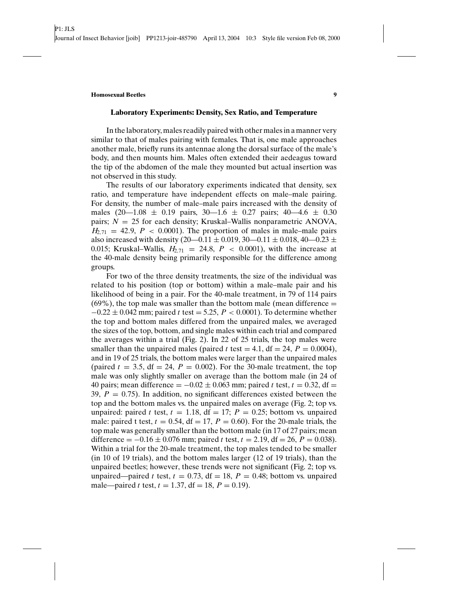## **Laboratory Experiments: Density, Sex Ratio, and Temperature**

In the laboratory, males readily paired with other males in a manner very similar to that of males pairing with females. That is, one male approaches another male, briefly runs its antennae along the dorsal surface of the male's body, and then mounts him. Males often extended their aedeagus toward the tip of the abdomen of the male they mounted but actual insertion was not observed in this study.

The results of our laboratory experiments indicated that density, sex ratio, and temperature have independent effects on male–male pairing. For density, the number of male–male pairs increased with the density of males  $(20-1.08 \pm 0.19)$  pairs,  $30-1.6 \pm 0.27$  pairs;  $40-4.6 \pm 0.30$ pairs;  $N = 25$  for each density; Kruskal–Wallis nonparametric ANOVA,  $H_{2,71} = 42.9$ ,  $P < 0.0001$ ). The proportion of males in male–male pairs also increased with density (20—0.11  $\pm$  0.019, 30—0.11  $\pm$  0.018, 40—0.23  $\pm$ 0.015; Kruskal–Wallis,  $H_{2,71} = 24.8$ ,  $P < 0.0001$ ), with the increase at the 40-male density being primarily responsible for the difference among groups.

For two of the three density treatments, the size of the individual was related to his position (top or bottom) within a male–male pair and his likelihood of being in a pair. For the 40-male treatment, in 79 of 114 pairs  $(69\%)$ , the top male was smaller than the bottom male (mean difference  $=$ −0.22 ± 0.042 mm; paired *t* test = 5.25, *P* < 0.0001). To determine whether the top and bottom males differed from the unpaired males, we averaged the sizes of the top, bottom, and single males within each trial and compared the averages within a trial (Fig. 2). In 22 of 25 trials, the top males were smaller than the unpaired males (paired *t* test = 4.1, df = 24,  $P = 0.0004$ ), and in 19 of 25 trials, the bottom males were larger than the unpaired males (paired  $t = 3.5$ , df = 24,  $P = 0.002$ ). For the 30-male treatment, the top male was only slightly smaller on average than the bottom male (in 24 of 40 pairs; mean difference =  $-0.02 \pm 0.063$  mm; paired *t* test,  $t = 0.32$ , df = 39,  $P = 0.75$ ). In addition, no significant differences existed between the top and the bottom males vs. the unpaired males on average (Fig. 2; top vs. unpaired: paired *t* test,  $t = 1.18$ ,  $df = 17$ ;  $P = 0.25$ ; bottom vs. unpaired male: paired t test,  $t = 0.54$ ,  $df = 17$ ,  $P = 0.60$ ). For the 20-male trials, the top male was generally smaller than the bottom male (in 17 of 27 pairs; mean difference =  $-0.16 \pm 0.076$  mm; paired *t* test,  $t = 2.19$ , df = 26,  $P = 0.038$ ). Within a trial for the 20-male treatment, the top males tended to be smaller (in 10 of 19 trials), and the bottom males larger (12 of 19 trials), than the unpaired beetles; however, these trends were not significant (Fig. 2; top vs. unpaired—paired *t* test,  $t = 0.73$ , df = 18,  $P = 0.48$ ; bottom vs. unpaired male—paired *t* test,  $t = 1.37$ , df = 18,  $P = 0.19$ ).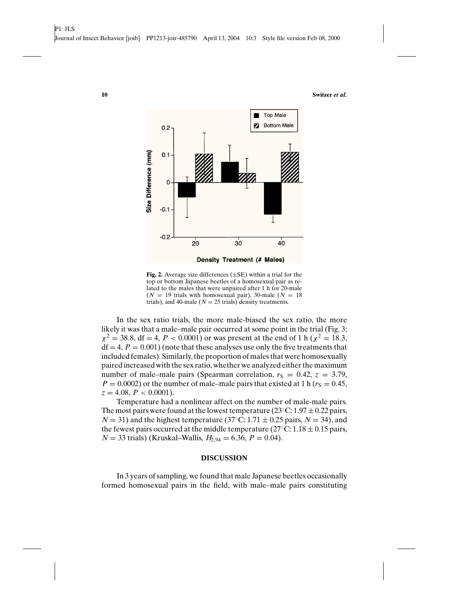

**Fig. 2.** Average size differences  $(\pm SE)$  within a trial for the top or bottom Japanese beetles of a homosexual pair as related to the males that were unpaired after 1 h for 20-male  $(N = 19$  trials with homosexual pair), 30-male  $(N = 18)$ trials), and 40-male ( $N = 25$  trials) density treatments.

In the sex ratio trials, the more male-biased the sex ratio, the more likely it was that a male–male pair occurred at some point in the trial (Fig. 3;  $\chi^2 = 38.8$ , df = 4, *P* < 0.0001) or was present at the end of 1 h ( $\chi^2 = 18.3$ ,  $df = 4$ ,  $P = 0.001$ ) (note that these analyses use only the five treatments that included females). Similarly, the proportion of males that were homosexually paired increased with the sex ratio, whether we analyzed either the maximum number of male–male pairs (Spearman correlation,  $r_S = 0.42$ ,  $z = 3.79$ ,  $P = 0.0002$ ) or the number of male–male pairs that existed at 1 h ( $r<sub>S</sub> = 0.45$ ,  $z = 4.08, P < 0.0001$ ).

Temperature had a nonlinear affect on the number of male-male pairs. The most pairs were found at the lowest temperature (23 $\degree$ C: 1.97  $\pm$  0.22 pairs,  $N = 31$ ) and the highest temperature (37°C: 1.71  $\pm$  0.25 pairs,  $N = 34$ ), and the fewest pairs occurred at the middle temperature ( $27^{\circ}$ C: 1.18  $\pm$  0.15 pairs,  $N = 33$  trials) (Kruskal–Wallis,  $H_{2.94} = 6.36$ ,  $P = 0.04$ ).

## **DISCUSSION**

In 3 years of sampling, we found that male Japanese beetles occasionally formed homosexual pairs in the field, with male–male pairs constituting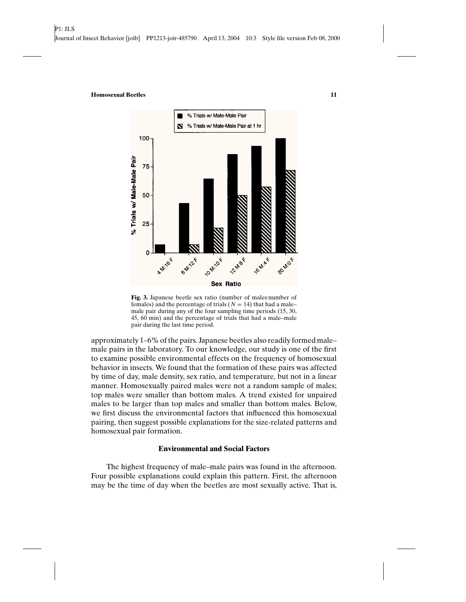

**Fig. 3.** Japanese beetle sex ratio (number of males:number of females) and the percentage of trials  $(N = 14)$  that had a male– male pair during any of the four sampling time periods (15, 30, 45, 60 min) and the percentage of trials that had a male–male pair during the last time period.

approximately 1–6% of the pairs. Japanese beetles also readily formed male– male pairs in the laboratory. To our knowledge, our study is one of the first to examine possible environmental effects on the frequency of homosexual behavior in insects. We found that the formation of these pairs was affected by time of day, male density, sex ratio, and temperature, but not in a linear manner. Homosexually paired males were not a random sample of males; top males were smaller than bottom males. A trend existed for unpaired males to be larger than top males and smaller than bottom males. Below, we first discuss the environmental factors that influenced this homosexual pairing, then suggest possible explanations for the size-related patterns and homosexual pair formation.

# **Environmental and Social Factors**

The highest frequency of male–male pairs was found in the afternoon. Four possible explanations could explain this pattern. First, the afternoon may be the time of day when the beetles are most sexually active. That is,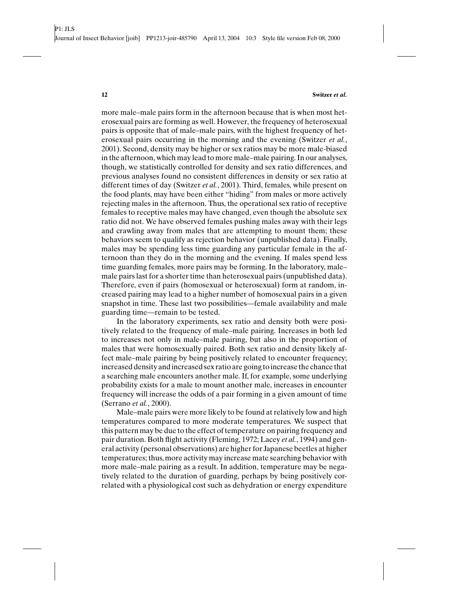more male–male pairs form in the afternoon because that is when most heterosexual pairs are forming as well. However, the frequency of heterosexual pairs is opposite that of male–male pairs, with the highest frequency of heterosexual pairs occurring in the morning and the evening (Switzer *et al.*, 2001). Second, density may be higher or sex ratios may be more male-biased in the afternoon, which may lead to more male–male pairing. In our analyses, though, we statistically controlled for density and sex ratio differences, and previous analyses found no consistent differences in density or sex ratio at different times of day (Switzer *et al.*, 2001). Third, females, while present on the food plants, may have been either "hiding" from males or more actively rejecting males in the afternoon. Thus, the operational sex ratio of receptive females to receptive males may have changed, even though the absolute sex ratio did not. We have observed females pushing males away with their legs and crawling away from males that are attempting to mount them; these behaviors seem to qualify as rejection behavior (unpublished data). Finally, males may be spending less time guarding any particular female in the afternoon than they do in the morning and the evening. If males spend less time guarding females, more pairs may be forming. In the laboratory, male– male pairs last for a shorter time than heterosexual pairs (unpublished data). Therefore, even if pairs (homosexual or heterosexual) form at random, increased pairing may lead to a higher number of homosexual pairs in a given snapshot in time. These last two possibilities—female availability and male guarding time—remain to be tested.

In the laboratory experiments, sex ratio and density both were positively related to the frequency of male–male pairing. Increases in both led to increases not only in male–male pairing, but also in the proportion of males that were homosexually paired. Both sex ratio and density likely affect male–male pairing by being positively related to encounter frequency; increased density and increased sex ratio are going to increase the chance that a searching male encounters another male. If, for example, some underlying probability exists for a male to mount another male, increases in encounter frequency will increase the odds of a pair forming in a given amount of time (Serrano *et al.*, 2000).

Male–male pairs were more likely to be found at relatively low and high temperatures compared to more moderate temperatures. We suspect that this pattern may be due to the effect of temperature on pairing frequency and pair duration. Both flight activity (Fleming, 1972; Lacey *et al.*, 1994) and general activity (personal observations) are higher for Japanese beetles at higher temperatures; thus, more activity may increase mate searching behavior with more male–male pairing as a result. In addition, temperature may be negatively related to the duration of guarding, perhaps by being positively correlated with a physiological cost such as dehydration or energy expenditure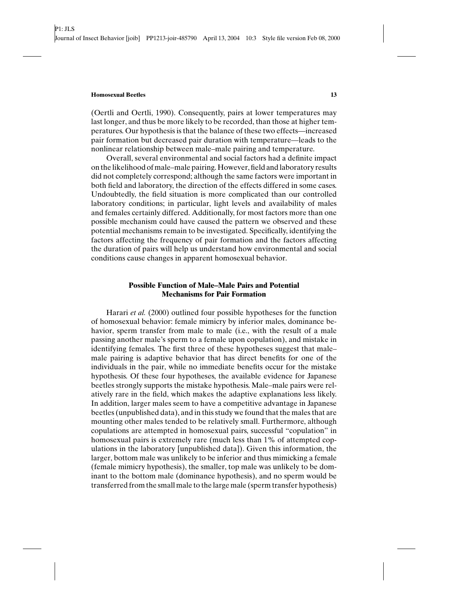#### **Homosexual Beetles 13**

(Oertli and Oertli, 1990). Consequently, pairs at lower temperatures may last longer, and thus be more likely to be recorded, than those at higher temperatures. Our hypothesis is that the balance of these two effects—increased pair formation but decreased pair duration with temperature—leads to the nonlinear relationship between male–male pairing and temperature.

Overall, several environmental and social factors had a definite impact on the likelihood of male–male pairing. However, field and laboratory results did not completely correspond; although the same factors were important in both field and laboratory, the direction of the effects differed in some cases. Undoubtedly, the field situation is more complicated than our controlled laboratory conditions; in particular, light levels and availability of males and females certainly differed. Additionally, for most factors more than one possible mechanism could have caused the pattern we observed and these potential mechanisms remain to be investigated. Specifically, identifying the factors affecting the frequency of pair formation and the factors affecting the duration of pairs will help us understand how environmental and social conditions cause changes in apparent homosexual behavior.

# **Possible Function of Male–Male Pairs and Potential Mechanisms for Pair Formation**

Harari *et al.* (2000) outlined four possible hypotheses for the function of homosexual behavior: female mimicry by inferior males, dominance behavior, sperm transfer from male to male (i.e., with the result of a male passing another male's sperm to a female upon copulation), and mistake in identifying females. The first three of these hypotheses suggest that male– male pairing is adaptive behavior that has direct benefits for one of the individuals in the pair, while no immediate benefits occur for the mistake hypothesis. Of these four hypotheses, the available evidence for Japanese beetles strongly supports the mistake hypothesis. Male–male pairs were relatively rare in the field, which makes the adaptive explanations less likely. In addition, larger males seem to have a competitive advantage in Japanese beetles (unpublished data), and in this study we found that the males that are mounting other males tended to be relatively small. Furthermore, although copulations are attempted in homosexual pairs, successful "copulation" in homosexual pairs is extremely rare (much less than 1% of attempted copulations in the laboratory [unpublished data]). Given this information, the larger, bottom male was unlikely to be inferior and thus mimicking a female (female mimicry hypothesis), the smaller, top male was unlikely to be dominant to the bottom male (dominance hypothesis), and no sperm would be transferred from the small male to the large male (sperm transfer hypothesis)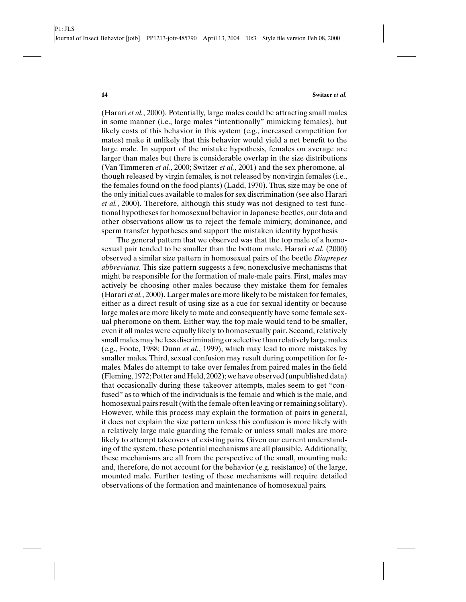(Harari *et al.*, 2000). Potentially, large males could be attracting small males in some manner (i.e., large males "intentionally" mimicking females), but likely costs of this behavior in this system (e.g., increased competition for mates) make it unlikely that this behavior would yield a net benefit to the large male. In support of the mistake hypothesis, females on average are larger than males but there is considerable overlap in the size distributions (Van Timmeren *et al.*, 2000; Switzer *et al.*, 2001) and the sex pheromone, although released by virgin females, is not released by nonvirgin females (i.e., the females found on the food plants) (Ladd, 1970). Thus, size may be one of the only initial cues available to males for sex discrimination (see also Harari *et al.*, 2000). Therefore, although this study was not designed to test functional hypotheses for homosexual behavior in Japanese beetles, our data and other observations allow us to reject the female mimicry, dominance, and sperm transfer hypotheses and support the mistaken identity hypothesis.

The general pattern that we observed was that the top male of a homosexual pair tended to be smaller than the bottom male. Harari *et al.* (2000) observed a similar size pattern in homosexual pairs of the beetle *Diaprepes abbreviatus*. This size pattern suggests a few, nonexclusive mechanisms that might be responsible for the formation of male-male pairs. First, males may actively be choosing other males because they mistake them for females (Harari *et al.*, 2000). Larger males are more likely to be mistaken for females, either as a direct result of using size as a cue for sexual identity or because large males are more likely to mate and consequently have some female sexual pheromone on them. Either way, the top male would tend to be smaller, even if all males were equally likely to homosexually pair. Second, relatively small males may be less discriminating or selective than relatively large males (e.g., Foote, 1988; Dunn *et al.*, 1999), which may lead to more mistakes by smaller males. Third, sexual confusion may result during competition for females. Males do attempt to take over females from paired males in the field (Fleming, 1972; Potter and Held, 2002); we have observed (unpublished data) that occasionally during these takeover attempts, males seem to get "confused" as to which of the individuals is the female and which is the male, and homosexual pairs result (with the female often leaving or remaining solitary). However, while this process may explain the formation of pairs in general, it does not explain the size pattern unless this confusion is more likely with a relatively large male guarding the female or unless small males are more likely to attempt takeovers of existing pairs. Given our current understanding of the system, these potential mechanisms are all plausible. Additionally, these mechanisms are all from the perspective of the small, mounting male and, therefore, do not account for the behavior (e.g. resistance) of the large, mounted male. Further testing of these mechanisms will require detailed observations of the formation and maintenance of homosexual pairs.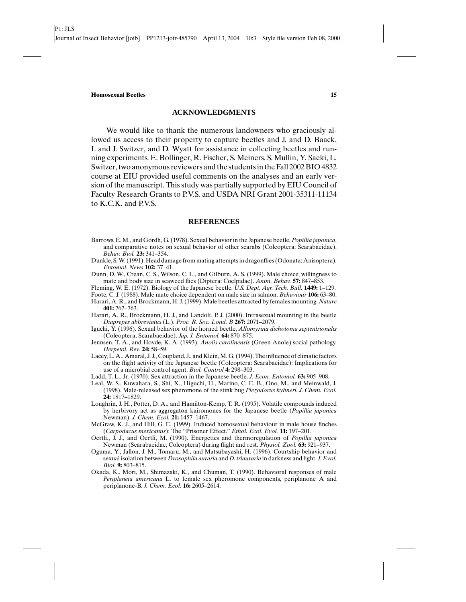#### **ACKNOWLEDGMENTS**

We would like to thank the numerous landowners who graciously allowed us access to their property to capture beetles and J. and D. Baack, I. and J. Switzer, and D. Wyatt for assistance in collecting beetles and running experiments. E. Bollinger, R. Fischer, S. Meiners, S. Mullin, Y. Saeki, L. Switzer, two anonymous reviewers and the students in the Fall 2002 BIO 4832 course at EIU provided useful comments on the analyses and an early version of the manuscript. This study was partially supported by EIU Council of Faculty Research Grants to P.V.S. and USDA NRI Grant 2001-35311-11134 to K.C.K. and P.V.S.

## **REFERENCES**

- Barrows, E. M., and Gordh, G. (1978). Sexual behavior in the Japanese beetle, *Popillia japonica*, and comparative notes on sexual behavior of other scarabs (Coleoptera: Scarabaeidae). *Behav. Biol.* **23:** 341–354.
- Dunkle, S. W. (1991). Head damage from mating attempts in dragonflies (Odonata: Anisoptera). *Entomol. News* **102:** 37–41.
- Dunn, D. W., Crean, C. S., Wilson, C. L., and Gilburn, A. S. (1999). Male choice, willingness to mate and body size in seaweed flies (Diptera: Coelpidae). *Anim. Behav.* **57:** 847–853.
- Fleming, W. E. (1972). Biology of the Japanese beetle. *U.S. Dept. Agr. Tech. Bull.* **1449:** 1–129.
- Foote, C. J. (1988). Male mate choice dependent on male size in salmon. *Behaviour* **106:** 63–80.
- Harari, A. R., and Brockmann, H. J. (1999). Male beetles attracted by females mounting. *Nature* **401:** 762–763.
- Harari, A. R., Brockmann, H. J., and Landolt, P. J. (2000). Intrasexual mounting in the beetle *Diaprepes abbreviatus* (L.). *Proc. R. Soc. Lond. B* **267:** 2071–2079.
- Iguchi, Y. (1996). Sexual behavior of the horned beetle, *Allomyrina dichotoma septentrionalis* (Coleoptera, Scarabaeidae). *Jap. J. Entomol.* **64:** 870–875.
- Jennsen, T. A., and Hovde, K. A. (1993). *Anolis carolinensis* (Green Anole) social pathology. *Herpetol. Rev.* **24:** 58–59.
- Lacey, L. A., Amaral, J. J., Coupland, J., and Klein, M. G. (1994). The influence of climatic factors on the flight activity of the Japanese beetle (Coleoptera: Scarabaeidae): Implications for use of a microbial control agent. *Biol. Control* **4:** 298–303.
- Ladd, T. L., Jr. (1970). Sex attraction in the Japanese beetle. *J. Econ. Entomol.* **63:** 905–908.
- Leal, W. S., Kuwahara, S., Shi, X., Higuchi, H., Marino, C. E. B., Ono, M., and Meinwald, J. (1998). Male-released sex pheromone of the stink bug *Piezodorus hybneri. J. Chem. Ecol.* **24:** 1817–1829.
- Loughrin, J. H., Potter, D. A., and Hamilton-Kemp, T. R. (1995). Volatile compounds induced by herbivory act as aggregaton kairomones for the Japanese beetle (*Popillia japonica* Newman). *J. Chem. Ecol.* **21:** 1457–1467.
- McGraw, K. J., and Hill, G. E. (1999). Induced homosexual behaviour in male house finches (*Carpodacus mexicanus*): The "Prisoner Effect." *Ethol. Ecol. Evol.* **11:** 197–201.
- Oertli,, J. J., and Oertli, M. (1990). Energetics and thermoregulation of *Popillia japonica* Newman (Scarabaeidae, Coleoptera) during flight and rest. *Physiol. Zool.* **63:** 921–937.
- Oguma, Y., Jallon, J. M., Tomaru, M., and Matsubayashi, H. (1996). Courtship behavior and sexual isolation between *Drosophila auraria* and *D. triauraria* in darkness and light. *J. Evol. Biol.* **9:** 803–815.
- Okada, K., Mori, M., Shimazaki, K., and Chuman, T. (1990). Behavioral responses of male *Periplaneta americana* L. to female sex pheromone components, periplanone A and periplanone-B. *J. Chem. Ecol.* **16:** 2605–2614.